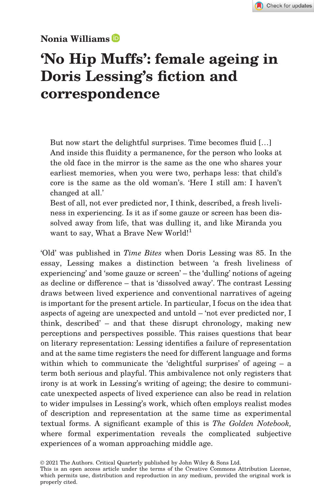# Nonia Williams

# 'No Hip Muffs': female ageing in Doris Lessing's fiction and correspondence

But now start the delightful surprises. Time becomes fluid […] And inside this fluidity a permanence, for the person who looks at the old face in the mirror is the same as the one who shares your earliest memories, when you were two, perhaps less: that child's core is the same as the old woman's. 'Here I still am: I haven't changed at all.'

Best of all, not ever predicted nor, I think, described, a fresh liveliness in experiencing. Is it as if some gauze or screen has been dissolved away from life, that was dulling it, and like Miranda you want to say, What a Brave New World!<sup>1</sup>

'Old' was published in Time Bites when Doris Lessing was 85. In the essay, Lessing makes a distinction between 'a fresh liveliness of experiencing' and 'some gauze or screen' – the 'dulling' notions of ageing as decline or difference – that is 'dissolved away'. The contrast Lessing draws between lived experience and conventional narratives of ageing is important for the present article. In particular, I focus on the idea that aspects of ageing are unexpected and untold – 'not ever predicted nor, I think, described' – and that these disrupt chronology, making new perceptions and perspectives possible. This raises questions that bear on literary representation: Lessing identifies a failure of representation and at the same time registers the need for different language and forms within which to communicate the 'delightful surprises' of ageing – a term both serious and playful. This ambivalence not only registers that irony is at work in Lessing's writing of ageing; the desire to communicate unexpected aspects of lived experience can also be read in relation to wider impulses in Lessing's work, which often employs realist modes of description and representation at the same time as experimental textual forms. A significant example of this is The Golden Notebook, where formal experimentation reveals the complicated subjective experiences of a woman approaching middle age.

<sup>© 2021</sup> The Authors. Critical Quarterly published by John Wiley & Sons Ltd.

This is an open access article under the terms of the [Creative Commons Attribution](http://creativecommons.org/licenses/by/4.0/) License, which permits use, distribution and reproduction in any medium, provided the original work is properly cited.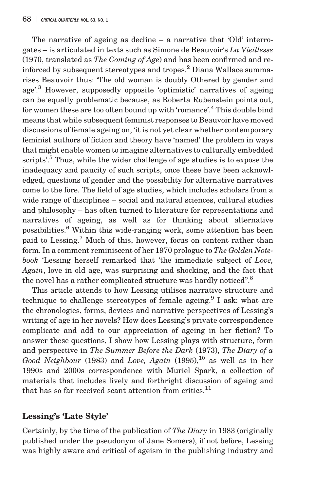The narrative of ageing as decline – a narrative that 'Old' interrogates – is articulated in texts such as Simone de Beauvoir's La Vieillesse (1970, translated as *The Coming of Age*) and has been confirmed and reinforced by subsequent stereotypes and tropes.<sup>2</sup> Diana Wallace summarises Beauvoir thus: 'The old woman is doubly Othered by gender and age'. <sup>3</sup> However, supposedly opposite 'optimistic' narratives of ageing can be equally problematic because, as Roberta Rubenstein points out, for women these are too often bound up with 'romance'. <sup>4</sup> This double bind means that while subsequent feminist responses to Beauvoir have moved discussions of female ageing on, 'it is not yet clear whether contemporary feminist authors of fiction and theory have 'named' the problem in ways that might enable women to imagine alternatives to culturally embedded scripts'.<sup>5</sup> Thus, while the wider challenge of age studies is to expose the inadequacy and paucity of such scripts, once these have been acknowledged, questions of gender and the possibility for alternative narratives come to the fore. The field of age studies, which includes scholars from a wide range of disciplines – social and natural sciences, cultural studies and philosophy – has often turned to literature for representations and narratives of ageing, as well as for thinking about alternative possibilities.6 Within this wide-ranging work, some attention has been paid to Lessing.7 Much of this, however, focus on content rather than form. In a comment reminiscent of her 1970 prologue to The Golden Notebook 'Lessing herself remarked that 'the immediate subject of Love, Again, love in old age, was surprising and shocking, and the fact that the novel has a rather complicated structure was hardly noticed".<sup>8</sup>

This article attends to how Lessing utilises narrative structure and technique to challenge stereotypes of female ageing.<sup>9</sup> I ask: what are the chronologies, forms, devices and narrative perspectives of Lessing's writing of age in her novels? How does Lessing's private correspondence complicate and add to our appreciation of ageing in her fiction? To answer these questions, I show how Lessing plays with structure, form and perspective in The Summer Before the Dark (1973), The Diary of a Good Neighbour (1983) and Love, Again (1995), $^{10}$  as well as in her 1990s and 2000s correspondence with Muriel Spark, a collection of materials that includes lively and forthright discussion of ageing and that has so far received scant attention from critics. $^{11}$ 

## Lessing's 'Late Style'

Certainly, by the time of the publication of The Diary in 1983 (originally published under the pseudonym of Jane Somers), if not before, Lessing was highly aware and critical of ageism in the publishing industry and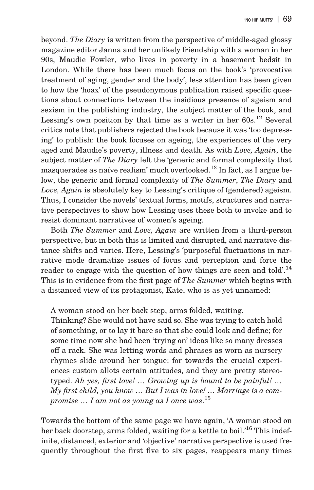beyond. The Diary is written from the perspective of middle-aged glossy magazine editor Janna and her unlikely friendship with a woman in her 90s, Maudie Fowler, who lives in poverty in a basement bedsit in London. While there has been much focus on the book's 'provocative treatment of aging, gender and the body', less attention has been given to how the 'hoax' of the pseudonymous publication raised specific questions about connections between the insidious presence of ageism and sexism in the publishing industry, the subject matter of the book, and Lessing's own position by that time as a writer in her  $60s$ .<sup>12</sup> Several critics note that publishers rejected the book because it was 'too depressing' to publish: the book focuses on ageing, the experiences of the very aged and Maudie's poverty, illness and death. As with Love, Again, the subject matter of The Diary left the 'generic and formal complexity that masquerades as naïve realism' much overlooked.<sup>13</sup> In fact, as I argue below, the generic and formal complexity of The Summer, The Diary and Love, Again is absolutely key to Lessing's critique of (gendered) ageism. Thus, I consider the novels' textual forms, motifs, structures and narrative perspectives to show how Lessing uses these both to invoke and to resist dominant narratives of women's ageing.

Both The Summer and Love, Again are written from a third-person perspective, but in both this is limited and disrupted, and narrative distance shifts and varies. Here, Lessing's 'purposeful fluctuations in narrative mode dramatize issues of focus and perception and force the reader to engage with the question of how things are seen and told'.<sup>14</sup> This is in evidence from the first page of The Summer which begins with a distanced view of its protagonist, Kate, who is as yet unnamed:

A woman stood on her back step, arms folded, waiting.

Thinking? She would not have said so. She was trying to catch hold of something, or to lay it bare so that she could look and define; for some time now she had been 'trying on' ideas like so many dresses off a rack. She was letting words and phrases as worn as nursery rhymes slide around her tongue: for towards the crucial experiences custom allots certain attitudes, and they are pretty stereotyped. Ah yes, first love! … Growing up is bound to be painful! … My first child, you know  $\ldots$  But I was in love!  $\ldots$  Marriage is a compromise  $\dots$  I am not as young as I once was. $^{15}$ 

Towards the bottom of the same page we have again, 'A woman stood on her back doorstep, arms folded, waiting for a kettle to boil.'<sup>16</sup> This indefinite, distanced, exterior and 'objective' narrative perspective is used frequently throughout the first five to six pages, reappears many times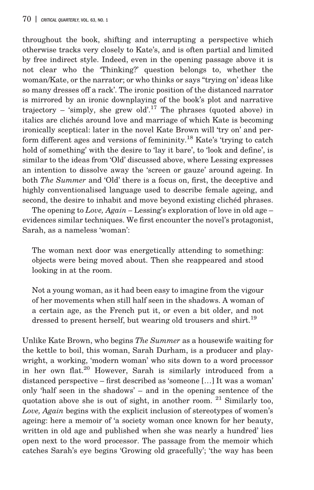throughout the book, shifting and interrupting a perspective which otherwise tracks very closely to Kate's, and is often partial and limited by free indirect style. Indeed, even in the opening passage above it is not clear who the 'Thinking?' question belongs to, whether the woman/Kate, or the narrator; or who thinks or says "trying on' ideas like so many dresses off a rack'. The ironic position of the distanced narrator is mirrored by an ironic downplaying of the book's plot and narrative trajectory – 'simply, she grew old'.<sup>17</sup> The phrases (quoted above) in italics are clichés around love and marriage of which Kate is becoming ironically sceptical: later in the novel Kate Brown will 'try on' and perform different ages and versions of femininity.<sup>18</sup> Kate's 'trying to catch hold of something' with the desire to 'lay it bare', to 'look and define', is similar to the ideas from 'Old' discussed above, where Lessing expresses an intention to dissolve away the 'screen or gauze' around ageing. In both The Summer and 'Old' there is a focus on, first, the deceptive and highly conventionalised language used to describe female ageing, and second, the desire to inhabit and move beyond existing clichéd phrases.

The opening to *Love*,  $Again$  – Lessing's exploration of love in old age – evidences similar techniques. We first encounter the novel's protagonist, Sarah, as a nameless 'woman':

The woman next door was energetically attending to something: objects were being moved about. Then she reappeared and stood looking in at the room.

Not a young woman, as it had been easy to imagine from the vigour of her movements when still half seen in the shadows. A woman of a certain age, as the French put it, or even a bit older, and not dressed to present herself, but wearing old trousers and shirt.<sup>19</sup>

Unlike Kate Brown, who begins The Summer as a housewife waiting for the kettle to boil, this woman, Sarah Durham, is a producer and playwright, a working, 'modern woman' who sits down to a word processor in her own flat.20 However, Sarah is similarly introduced from a distanced perspective – first described as 'someone […] It was a woman' only 'half seen in the shadows' – and in the opening sentence of the quotation above she is out of sight, in another room.  $21$  Similarly too, Love, Again begins with the explicit inclusion of stereotypes of women's ageing: here a memoir of 'a society woman once known for her beauty, written in old age and published when she was nearly a hundred' lies open next to the word processor. The passage from the memoir which catches Sarah's eye begins 'Growing old gracefully'; 'the way has been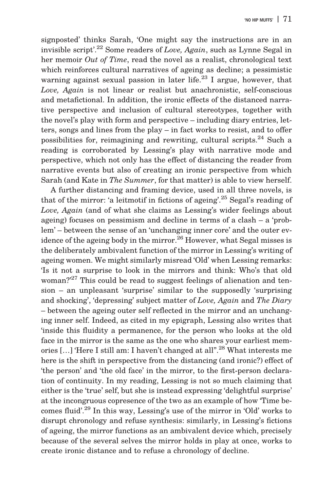signposted' thinks Sarah, 'One might say the instructions are in an invisible script'.<sup>22</sup> Some readers of Love, Again, such as Lynne Segal in her memoir Out of Time, read the novel as a realist, chronological text which reinforces cultural narratives of ageing as decline; a pessimistic warning against sexual passion in later life.<sup>23</sup> I argue, however, that Love, Again is not linear or realist but anachronistic, self-conscious and metafictional. In addition, the ironic effects of the distanced narrative perspective and inclusion of cultural stereotypes, together with the novel's play with form and perspective – including diary entries, letters, songs and lines from the play – in fact works to resist, and to offer possibilities for, reimagining and rewriting, cultural scripts.<sup>24</sup> Such a reading is corroborated by Lessing's play with narrative mode and perspective, which not only has the effect of distancing the reader from narrative events but also of creating an ironic perspective from which Sarah (and Kate in The Summer, for that matter) is able to view herself.

A further distancing and framing device, used in all three novels, is that of the mirror: 'a leitmotif in fictions of ageing'. <sup>25</sup> Segal's reading of Love, Again (and of what she claims as Lessing's wider feelings about ageing) focuses on pessimism and decline in terms of a clash – a 'problem' – between the sense of an 'unchanging inner core' and the outer evidence of the ageing body in the mirror.<sup>26</sup> However, what Segal misses is the deliberately ambivalent function of the mirror in Lessing's writing of ageing women. We might similarly misread 'Old' when Lessing remarks: 'Is it not a surprise to look in the mirrors and think: Who's that old woman?' <sup>27</sup> This could be read to suggest feelings of alienation and tension – an unpleasant 'surprise' similar to the supposedly 'surprising and shocking', 'depressing' subject matter of Love, Again and The Diary – between the ageing outer self reflected in the mirror and an unchanging inner self. Indeed, as cited in my epigraph, Lessing also writes that 'inside this fluidity a permanence, for the person who looks at the old face in the mirror is the same as the one who shares your earliest memories [...] 'Here I still am: I haven't changed at all".<sup>28</sup> What interests me here is the shift in perspective from the distancing (and ironic?) effect of 'the person' and 'the old face' in the mirror, to the first-person declaration of continuity. In my reading, Lessing is not so much claiming that either is the 'true' self, but she is instead expressing 'delightful surprise' at the incongruous copresence of the two as an example of how 'Time becomes fluid'. <sup>29</sup> In this way, Lessing's use of the mirror in 'Old' works to disrupt chronology and refuse synthesis: similarly, in Lessing's fictions of ageing, the mirror functions as an ambivalent device which, precisely because of the several selves the mirror holds in play at once, works to create ironic distance and to refuse a chronology of decline.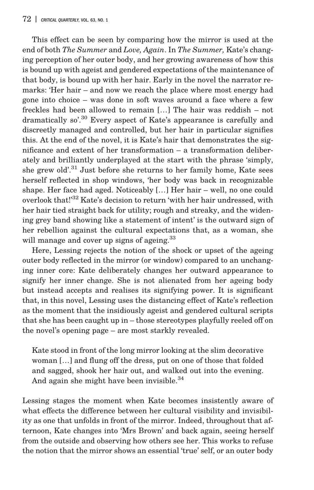This effect can be seen by comparing how the mirror is used at the end of both The Summer and Love, Again. In The Summer, Kate's changing perception of her outer body, and her growing awareness of how this is bound up with ageist and gendered expectations of the maintenance of that body, is bound up with her hair. Early in the novel the narrator remarks: 'Her hair – and now we reach the place where most energy had gone into choice – was done in soft waves around a face where a few freckles had been allowed to remain […] The hair was reddish – not dramatically so'.<sup>30</sup> Every aspect of Kate's appearance is carefully and discreetly managed and controlled, but her hair in particular signifies this. At the end of the novel, it is Kate's hair that demonstrates the significance and extent of her transformation – a transformation deliberately and brilliantly underplayed at the start with the phrase 'simply, she grew old'. <sup>31</sup> Just before she returns to her family home, Kate sees herself reflected in shop windows, 'her body was back in recognizable shape. Her face had aged. Noticeably […] Her hair – well, no one could overlook that!' $^{32}$  Kate's decision to return 'with her hair undressed, with her hair tied straight back for utility; rough and streaky, and the widening grey band showing like a statement of intent' is the outward sign of her rebellion against the cultural expectations that, as a woman, she will manage and cover up signs of ageing.<sup>33</sup>

Here, Lessing rejects the notion of the shock or upset of the ageing outer body reflected in the mirror (or window) compared to an unchanging inner core: Kate deliberately changes her outward appearance to signify her inner change. She is not alienated from her ageing body but instead accepts and realises its signifying power. It is significant that, in this novel, Lessing uses the distancing effect of Kate's reflection as the moment that the insidiously ageist and gendered cultural scripts that she has been caught up in – those stereotypes playfully reeled off on the novel's opening page – are most starkly revealed.

Kate stood in front of the long mirror looking at the slim decorative woman […] and flung off the dress, put on one of those that folded and sagged, shook her hair out, and walked out into the evening. And again she might have been invisible.<sup>34</sup>

Lessing stages the moment when Kate becomes insistently aware of what effects the difference between her cultural visibility and invisibility as one that unfolds in front of the mirror. Indeed, throughout that afternoon, Kate changes into 'Mrs Brown' and back again, seeing herself from the outside and observing how others see her. This works to refuse the notion that the mirror shows an essential 'true' self, or an outer body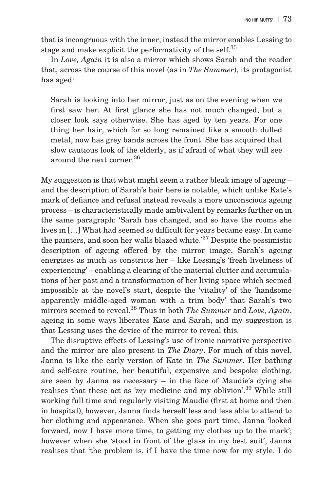that is incongruous with the inner; instead the mirror enables Lessing to stage and make explicit the performativity of the self.<sup>35</sup>

In Love, Again it is also a mirror which shows Sarah and the reader that, across the course of this novel (as in The Summer), its protagonist has aged:

Sarah is looking into her mirror, just as on the evening when we first saw her. At first glance she has not much changed, but a closer look says otherwise. She has aged by ten years. For one thing her hair, which for so long remained like a smooth dulled metal, now has grey bands across the front. She has acquired that slow cautious look of the elderly, as if afraid of what they will see around the next corner <sup>36</sup>

My suggestion is that what might seem a rather bleak image of ageing – and the description of Sarah's hair here is notable, which unlike Kate's mark of defiance and refusal instead reveals a more unconscious ageing process – is characteristically made ambivalent by remarks further on in the same paragraph: 'Sarah has changed, and so have the rooms she lives in […] What had seemed so difficult for years became easy. In came the painters, and soon her walls blazed white.<sup>37</sup> Despite the pessimistic description of ageing offered by the mirror image, Sarah's ageing energises as much as constricts her – like Lessing's 'fresh liveliness of experiencing' – enabling a clearing of the material clutter and accumulations of her past and a transformation of her living space which seemed impossible at the novel's start, despite the 'vitality' of the 'handsome apparently middle-aged woman with a trim body' that Sarah's two mirrors seemed to reveal. $^{38}$  Thus in both *The Summer* and *Love*, *Again*, ageing in some ways liberates Kate and Sarah, and my suggestion is that Lessing uses the device of the mirror to reveal this.

The disruptive effects of Lessing's use of ironic narrative perspective and the mirror are also present in The Diary. For much of this novel, Janna is like the early version of Kate in The Summer. Her bathing and self-care routine, her beautiful, expensive and bespoke clothing, are seen by Janna as necessary – in the face of Maudie's dying she realises that these act as 'my medicine and my oblivion'.<sup>39</sup> While still working full time and regularly visiting Maudie (first at home and then in hospital), however, Janna finds herself less and less able to attend to her clothing and appearance. When she goes part time, Janna 'looked forward, now I have more time, to getting my clothes up to the mark'; however when she 'stood in front of the glass in my best suit', Janna realises that 'the problem is, if I have the time now for my style, I do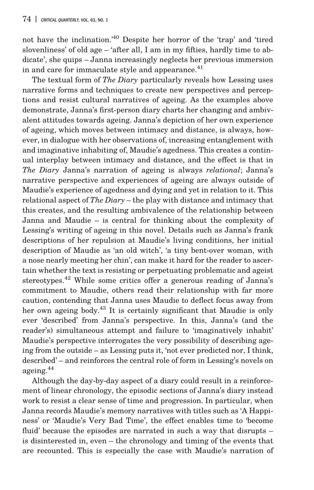not have the inclination.' <sup>40</sup> Despite her horror of the 'trap' and 'tired slovenliness' of old age – 'after all, I am in my fifties, hardly time to abdicate', she quips – Janna increasingly neglects her previous immersion in and care for immaculate style and appearance. $41$ 

The textual form of *The Diary* particularly reveals how Lessing uses narrative forms and techniques to create new perspectives and perceptions and resist cultural narratives of ageing. As the examples above demonstrate, Janna's first-person diary charts her changing and ambivalent attitudes towards ageing. Janna's depiction of her own experience of ageing, which moves between intimacy and distance, is always, however, in dialogue with her observations of, increasing entanglement with and imaginative inhabiting of, Maudie's agedness. This creates a continual interplay between intimacy and distance, and the effect is that in The Diary Janna's narration of ageing is always relational; Janna's narrative perspective and experiences of ageing are always outside of Maudie's experience of agedness and dying and yet in relation to it. This relational aspect of The Diary – the play with distance and intimacy that this creates, and the resulting ambivalence of the relationship between Janna and Maudie – is central for thinking about the complexity of Lessing's writing of ageing in this novel. Details such as Janna's frank descriptions of her repulsion at Maudie's living conditions, her initial description of Maudie as 'an old witch', 'a tiny bent-over woman, with a nose nearly meeting her chin', can make it hard for the reader to ascertain whether the text is resisting or perpetuating problematic and ageist stereotypes.<sup>42</sup> While some critics offer a generous reading of Janna's commitment to Maudie, others read their relationship with far more caution, contending that Janna uses Maudie to deflect focus away from her own ageing body.<sup>43</sup> It is certainly significant that Maudie is only ever 'described' from Janna's perspective. In this, Janna's (and the reader's) simultaneous attempt and failure to 'imaginatively inhabit' Maudie's perspective interrogates the very possibility of describing ageing from the outside – as Lessing puts it, 'not ever predicted nor, I think, described' – and reinforces the central role of form in Lessing's novels on ageing.<sup>44</sup>

Although the day-by-day aspect of a diary could result in a reinforcement of linear chronology, the episodic sections of Janna's diary instead work to resist a clear sense of time and progression. In particular, when Janna records Maudie's memory narratives with titles such as 'A Happiness' or 'Maudie's Very Bad Time', the effect enables time to 'become fluid' because the episodes are narrated in such a way that disrupts – is disinterested in, even – the chronology and timing of the events that are recounted. This is especially the case with Maudie's narration of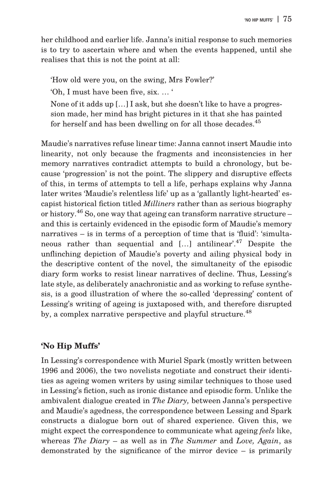her childhood and earlier life. Janna's initial response to such memories is to try to ascertain where and when the events happened, until she realises that this is not the point at all:

'How old were you, on the swing, Mrs Fowler?'

'Oh, I must have been five, six. … '

None of it adds up […] I ask, but she doesn't like to have a progression made, her mind has bright pictures in it that she has painted for herself and has been dwelling on for all those decades.<sup>45</sup>

Maudie's narratives refuse linear time: Janna cannot insert Maudie into linearity, not only because the fragments and inconsistencies in her memory narratives contradict attempts to build a chronology, but because 'progression' is not the point. The slippery and disruptive effects of this, in terms of attempts to tell a life, perhaps explains why Janna later writes 'Maudie's relentless life' up as a 'gallantly light-hearted' escapist historical fiction titled Milliners rather than as serious biography or history.<sup>46</sup> So, one way that ageing can transform narrative structure – and this is certainly evidenced in the episodic form of Maudie's memory narratives – is in terms of a perception of time that is 'fluid': 'simultaneous rather than sequential and [...] antilinear'.<sup>47</sup> Despite the unflinching depiction of Maudie's poverty and ailing physical body in the descriptive content of the novel, the simultaneity of the episodic diary form works to resist linear narratives of decline. Thus, Lessing's late style, as deliberately anachronistic and as working to refuse synthesis, is a good illustration of where the so-called 'depressing' content of Lessing's writing of ageing is juxtaposed with, and therefore disrupted by, a complex narrative perspective and playful structure.<sup>48</sup>

### 'No Hip Muffs'

In Lessing's correspondence with Muriel Spark (mostly written between 1996 and 2006), the two novelists negotiate and construct their identities as ageing women writers by using similar techniques to those used in Lessing's fiction, such as ironic distance and episodic form. Unlike the ambivalent dialogue created in The Diary, between Janna's perspective and Maudie's agedness, the correspondence between Lessing and Spark constructs a dialogue born out of shared experience. Given this, we might expect the correspondence to communicate what ageing feels like, whereas The Diary – as well as in The Summer and Love, Again, as demonstrated by the significance of the mirror device – is primarily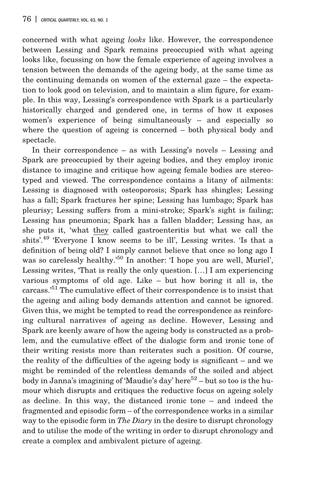concerned with what ageing looks like. However, the correspondence between Lessing and Spark remains preoccupied with what ageing looks like, focussing on how the female experience of ageing involves a tension between the demands of the ageing body, at the same time as the continuing demands on women of the external gaze – the expectation to look good on television, and to maintain a slim figure, for example. In this way, Lessing's correspondence with Spark is a particularly historically charged and gendered one, in terms of how it exposes women's experience of being simultaneously – and especially so where the question of ageing is concerned – both physical body and spectacle.

In their correspondence – as with Lessing's novels – Lessing and Spark are preoccupied by their ageing bodies, and they employ ironic distance to imagine and critique how ageing female bodies are stereotyped and viewed. The correspondence contains a litany of ailments: Lessing is diagnosed with osteoporosis; Spark has shingles; Lessing has a fall; Spark fractures her spine; Lessing has lumbago; Spark has pleurisy; Lessing suffers from a mini-stroke; Spark's sight is failing; Lessing has pneumonia; Spark has a fallen bladder; Lessing has, as she puts it, 'what they called gastroenteritis but what we call the shits'. <sup>49</sup> 'Everyone I know seems to be ill', Lessing writes. 'Is that a definition of being old? I simply cannot believe that once so long ago I was so carelessly healthy.' <sup>50</sup> In another: 'I hope you are well, Muriel', Lessing writes, 'That is really the only question. […] I am experiencing various symptoms of old age. Like – but how boring it all is, the carcass.' <sup>51</sup> The cumulative effect of their correspondence is to insist that the ageing and ailing body demands attention and cannot be ignored. Given this, we might be tempted to read the correspondence as reinforcing cultural narratives of ageing as decline. However, Lessing and Spark are keenly aware of how the ageing body is constructed as a problem, and the cumulative effect of the dialogic form and ironic tone of their writing resists more than reiterates such a position. Of course, the reality of the difficulties of the ageing body is significant – and we might be reminded of the relentless demands of the soiled and abject body in Janna's imagining of 'Maudie's day' here<sup>52</sup> – but so too is the humour which disrupts and critiques the reductive focus on ageing solely as decline. In this way, the distanced ironic tone – and indeed the fragmented and episodic form – of the correspondence works in a similar way to the episodic form in *The Diary* in the desire to disrupt chronology and to utilise the mode of the writing in order to disrupt chronology and create a complex and ambivalent picture of ageing.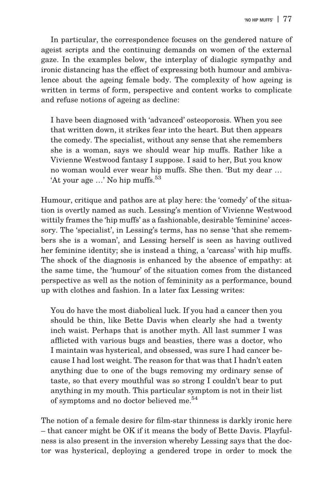In particular, the correspondence focuses on the gendered nature of ageist scripts and the continuing demands on women of the external gaze. In the examples below, the interplay of dialogic sympathy and ironic distancing has the effect of expressing both humour and ambivalence about the ageing female body. The complexity of how ageing is written in terms of form, perspective and content works to complicate and refuse notions of ageing as decline:

I have been diagnosed with 'advanced' osteoporosis. When you see that written down, it strikes fear into the heart. But then appears the comedy. The specialist, without any sense that she remembers she is a woman, says we should wear hip muffs. Rather like a Vivienne Westwood fantasy I suppose. I said to her, But you know no woman would ever wear hip muffs. She then. 'But my dear … 'At your age ...' No hip muffs.<sup>53</sup>

Humour, critique and pathos are at play here: the 'comedy' of the situation is overtly named as such. Lessing's mention of Vivienne Westwood wittily frames the 'hip muffs' as a fashionable, desirable 'feminine' accessory. The 'specialist', in Lessing's terms, has no sense 'that she remembers she is a woman', and Lessing herself is seen as having outlived her feminine identity; she is instead a thing, a 'carcass' with hip muffs. The shock of the diagnosis is enhanced by the absence of empathy: at the same time, the 'humour' of the situation comes from the distanced perspective as well as the notion of femininity as a performance, bound up with clothes and fashion. In a later fax Lessing writes:

You do have the most diabolical luck. If you had a cancer then you should be thin, like Bette Davis when clearly she had a twenty inch waist. Perhaps that is another myth. All last summer I was afflicted with various bugs and beasties, there was a doctor, who I maintain was hysterical, and obsessed, was sure I had cancer because I had lost weight. The reason for that was that I hadn't eaten anything due to one of the bugs removing my ordinary sense of taste, so that every mouthful was so strong I couldn't bear to put anything in my mouth. This particular symptom is not in their list of symptoms and no doctor believed me.<sup>54</sup>

The notion of a female desire for film-star thinness is darkly ironic here – that cancer might be OK if it means the body of Bette Davis. Playfulness is also present in the inversion whereby Lessing says that the doctor was hysterical, deploying a gendered trope in order to mock the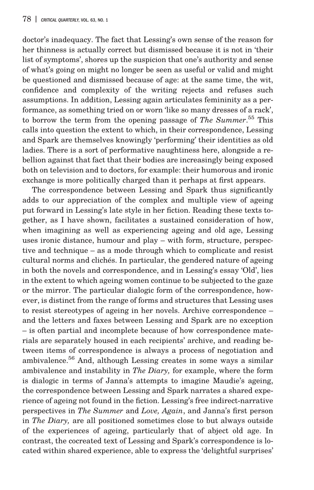doctor's inadequacy. The fact that Lessing's own sense of the reason for her thinness is actually correct but dismissed because it is not in 'their list of symptoms', shores up the suspicion that one's authority and sense of what's going on might no longer be seen as useful or valid and might be questioned and dismissed because of age: at the same time, the wit, confidence and complexity of the writing rejects and refuses such assumptions. In addition, Lessing again articulates femininity as a performance, as something tried on or worn 'like so many dresses of a rack', to borrow the term from the opening passage of The Summer.<sup>55</sup> This calls into question the extent to which, in their correspondence, Lessing and Spark are themselves knowingly 'performing' their identities as old ladies. There is a sort of performative naughtiness here, alongside a rebellion against that fact that their bodies are increasingly being exposed both on television and to doctors, for example: their humorous and ironic exchange is more politically charged than it perhaps at first appears.

The correspondence between Lessing and Spark thus significantly adds to our appreciation of the complex and multiple view of ageing put forward in Lessing's late style in her fiction. Reading these texts together, as I have shown, facilitates a sustained consideration of how, when imagining as well as experiencing ageing and old age, Lessing uses ironic distance, humour and play – with form, structure, perspective and technique – as a mode through which to complicate and resist cultural norms and clichés. In particular, the gendered nature of ageing in both the novels and correspondence, and in Lessing's essay 'Old', lies in the extent to which ageing women continue to be subjected to the gaze or the mirror. The particular dialogic form of the correspondence, however, is distinct from the range of forms and structures that Lessing uses to resist stereotypes of ageing in her novels. Archive correspondence – and the letters and faxes between Lessing and Spark are no exception – is often partial and incomplete because of how correspondence materials are separately housed in each recipients' archive, and reading between items of correspondence is always a process of negotiation and ambivalence.56 And, although Lessing creates in some ways a similar ambivalence and instability in The Diary, for example, where the form is dialogic in terms of Janna's attempts to imagine Maudie's ageing, the correspondence between Lessing and Spark narrates a shared experience of ageing not found in the fiction. Lessing's free indirect-narrative perspectives in The Summer and Love, Again, and Janna's first person in The Diary, are all positioned sometimes close to but always outside of the experiences of ageing, particularly that of abject old age. In contrast, the cocreated text of Lessing and Spark's correspondence is located within shared experience, able to express the 'delightful surprises'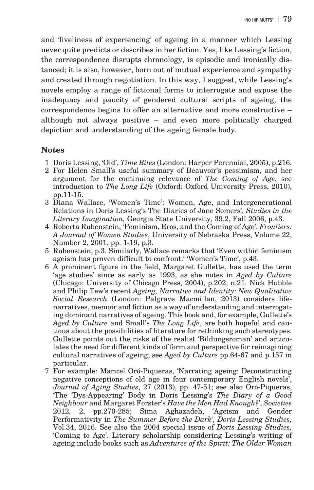and 'liveliness of experiencing' of ageing in a manner which Lessing never quite predicts or describes in her fiction. Yes, like Lessing's fiction, the correspondence disrupts chronology, is episodic and ironically distanced; it is also, however, born out of mutual experience and sympathy and created through negotiation. In this way, I suggest, while Lessing's novels employ a range of fictional forms to interrogate and expose the inadequacy and paucity of gendered cultural scripts of ageing, the correspondence begins to offer an alternative and more constructive – although not always positive – and even more politically charged depiction and understanding of the ageing female body.

### **Notes**

- 1 Doris Lessing, 'Old', Time Bites (London: Harper Perennial, 2005), p.216.
- 2 For Helen Small's useful summary of Beauvoir's pessimism, and her argument for the continuing relevance of The Coming of Age, see introduction to The Long Life (Oxford: Oxford University Press, 2010), pp.11-15.
- 3 Diana Wallace, 'Women's Time': Women, Age, and Intergenerational Relations in Doris Lessing's The Diaries of Jane Somers', Studies in the Literary Imagination, Georgia State University, 39.2, Fall 2006, p.43.
- 4 Roberta Rubenstein, 'Feminism, Eros, and the Coming of Age', Frontiers: A Journal of Women Studies, University of Nebraska Press, Volume 22, Number 2, 2001, pp. 1-19, p.3.
- 5 Rubenstein, p.3. Similarly, Wallace remarks that 'Even within feminism ageism has proven difficult to confront.' 'Women's Time', p.43.
- 6 A prominent figure in the field, Margaret Gullette, has used the term 'age studies' since as early as 1993, as she notes in Aged by Culture (Chicago: University of Chicago Press, 2004), p.202, n.21. Nick Hubble and Philip Tew's recent Ageing, Narrative and Identity: New Qualitative Social Research (London: Palgrave Macmillan, 2013) considers lifenarratives, memoir and fiction as a way of understanding and interrogating dominant narratives of ageing. This book and, for example, Gullette's Aged by Culture and Small's The Long Life, are both hopeful and cautious about the possibilities of literature for rethinking such stereotypes. Gullette points out the risks of the realist 'Bildungsroman' and articulates the need for different kinds of form and perspective for reimagining cultural narratives of ageing; see Aged by Culture pp.64-67 and p.157 in particular.
- 7 For example: Maricel Oró-Piqueras, 'Narrating ageing: Deconstructing negative conceptions of old age in four contemporary English novels', Journal of Aging Studies, 27 (2013), pp. 47-51; see also Oró-Piqueras, 'The 'Dys-Appearing' Body in Doris Lessing's The Diary of a Good Neighbour and Margaret Forster's Have the Men Had Enough?', Societies 2012, 2, pp.270-285; Sima Aghazadeh, 'Ageism and Gender Performativity in The Summer Before the Dark', Doris Lessing Studies, Vol.34, 2016. See also the 2004 special issue of Doris Lessing Studies, 'Coming to Age'. Literary scholarship considering Lessing's writing of ageing include books such as Adventures of the Spirit: The Older Woman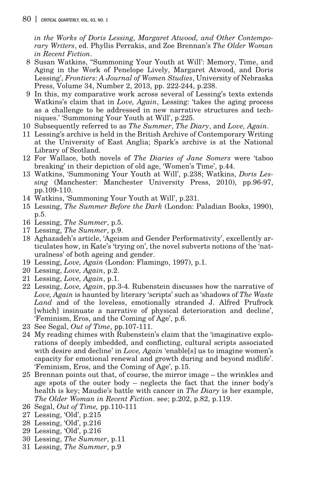in the Works of Doris Lessing, Margaret Atwood, and Other Contemporary Writers, ed. Phyllis Perrakis, and Zoe Brennan's The Older Woman in Recent Fiction.

- 8 Susan Watkins, "Summoning Your Youth at Will': Memory, Time, and Aging in the Work of Penelope Lively, Margaret Atwood, and Doris Lessing', Frontiers: A Journal of Women Studies, University of Nebraska Press, Volume 34, Number 2, 2013, pp. 222-244, p.238.
- 9 In this, my comparative work across several of Lessing's texts extends Watkins's claim that in Love, Again, Lessing: 'takes the aging process as a challenge to be addressed in new narrative structures and techniques.' 'Summoning Your Youth at Will', p.225.
- 10 Subsequently referred to as The Summer, The Diary, and Love, Again.
- 11 Lessing's archive is held in the British Archive of Contemporary Writing at the University of East Anglia; Spark's archive is at the National Library of Scotland.
- 12 For Wallace, both novels of The Diaries of Jane Somers were 'taboo breaking' in their depiction of old age, 'Women's Time', p.44.
- 13 Watkins, 'Summoning Your Youth at Will', p.238; Watkins, Doris Lessing (Manchester: Manchester University Press, 2010), pp.96-97, pp.109-110.
- 14 Watkins, 'Summoning Your Youth at Will', p.231.
- 15 Lessing, The Summer Before the Dark (London: Paladian Books, 1990), p.5.
- 16 Lessing, The Summer, p.5.
- 17 Lessing, The Summer, p.9.
- 18 Aghazadeh's article, 'Ageism and Gender Performativity', excellently articulates how, in Kate's 'trying on', the novel subverts notions of the 'naturalness' of both ageing and gender.
- 19 Lessing, Love, Again (London: Flamingo, 1997), p.1.
- 20 Lessing, Love, Again, p.2.
- 21 Lessing, Love, Again, p.1.
- 22 Lessing, Love, Again, pp.3-4. Rubenstein discusses how the narrative of Love, Again is haunted by literary 'scripts' such as 'shadows of The Waste Land and of the loveless, emotionally stranded J. Alfred Prufrock [which] insinuate a narrative of physical deterioration and decline', 'Feminism, Eros, and the Coming of Age', p.6.
- 23 See Segal, Out of Time, pp.107-111.
- 24 My reading chimes with Rubenstein's claim that the 'imaginative explorations of deeply imbedded, and conflicting, cultural scripts associated with desire and decline' in *Love*, *Again* 'enable<sup>[5]</sup> us to imagine women's capacity for emotional renewal and growth during and beyond midlife'. 'Feminism, Eros, and the Coming of Age', p.15.
- 25 Brennan points out that, of course, the mirror image the wrinkles and age spots of the outer body – neglects the fact that the inner body's health is key; Maudie's battle with cancer in *The Diary* is her example, The Older Woman in Recent Fiction. see; p.202, p.82, p.119.
- 26 Segal, Out of Time, pp.110-111
- 27 Lessing, 'Old', p.215
- 28 Lessing, 'Old', p.216
- 29 Lessing, 'Old', p.216
- 30 Lessing, The Summer, p.11
- 31 Lessing, The Summer, p.9